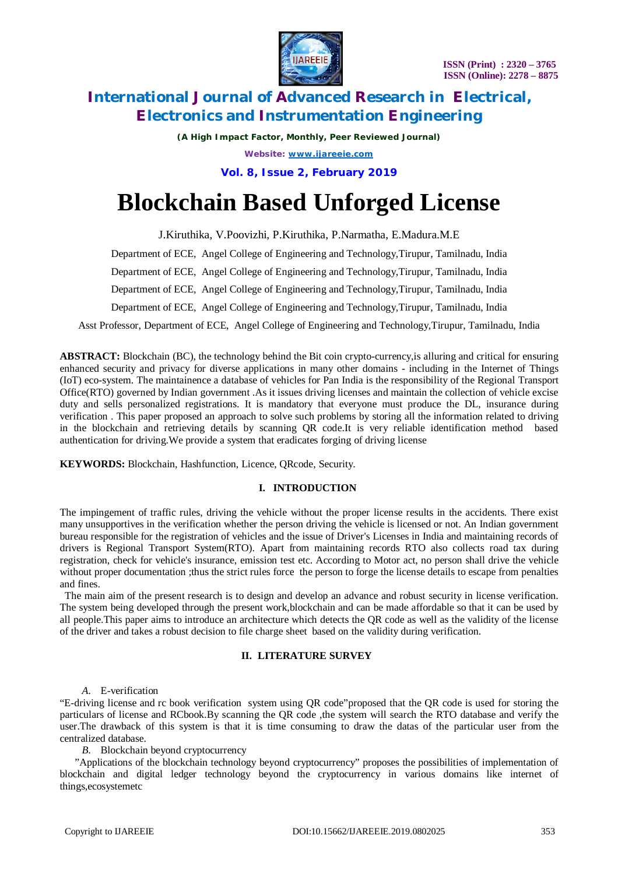



*(A High Impact Factor, Monthly, Peer Reviewed Journal) Website: [www.ijareeie.com](http://www.ijareeie.com)*

**Vol. 8, Issue 2, February 2019**

# **Blockchain Based Unforged License**

J.Kiruthika, V.Poovizhi, P.Kiruthika, P.Narmatha, E.Madura.M.E

Department of ECE, Angel College of Engineering and Technology,Tirupur, Tamilnadu, India

Department of ECE, Angel College of Engineering and Technology,Tirupur, Tamilnadu, India

Department of ECE, Angel College of Engineering and Technology,Tirupur, Tamilnadu, India

Department of ECE, Angel College of Engineering and Technology,Tirupur, Tamilnadu, India

Asst Professor, Department of ECE, Angel College of Engineering and Technology,Tirupur, Tamilnadu, India

**ABSTRACT:** Blockchain (BC), the technology behind the Bit coin crypto-currency,is alluring and critical for ensuring enhanced security and privacy for diverse applications in many other domains - including in the Internet of Things (IoT) eco-system. The maintainence a database of vehicles for Pan India is the responsibility of the Regional Transport Office(RTO) governed by Indian government .As it issues driving licenses and maintain the collection of vehicle excise duty and sells personalized registrations. It is mandatory that everyone must produce the DL, insurance during verification . This paper proposed an approach to solve such problems by storing all the information related to driving in the blockchain and retrieving details by scanning QR code.It is very reliable identification method based authentication for driving.We provide a system that eradicates forging of driving license

**KEYWORDS:** Blockchain, Hashfunction, Licence, QRcode, Security.

#### **I. INTRODUCTION**

The impingement of traffic rules, driving the vehicle without the proper license results in the accidents. There exist many unsupportives in the verification whether the person driving the vehicle is licensed or not. An Indian government bureau responsible for the registration of vehicles and the issue of Driver's Licenses in India and maintaining records of drivers is Regional Transport System(RTO). Apart from maintaining records RTO also collects road tax during registration, check for vehicle's insurance, emission test etc. According to Motor act, no person shall drive the vehicle without proper documentation ;thus the strict rules force the person to forge the license details to escape from penalties and fines.

 The main aim of the present research is to design and develop an advance and robust security in license verification. The system being developed through the present work,blockchain and can be made affordable so that it can be used by all people.This paper aims to introduce an architecture which detects the QR code as well as the validity of the license of the driver and takes a robust decision to file charge sheet based on the validity during verification.

#### **II. LITERATURE SURVEY**

*A.* E-verification

"E-driving license and rc book verification system using QR code"proposed that the QR code is used for storing the particulars of license and RCbook.By scanning the QR code ,the system will search the RTO database and verify the user.The drawback of this system is that it is time consuming to draw the datas of the particular user from the centralized database.

*B.* Blockchain beyond cryptocurrency

"Applications of the blockchain technology beyond cryptocurrency" proposes the possibilities of implementation of blockchain and digital ledger technology beyond the cryptocurrency in various domains like internet of things,ecosystemetc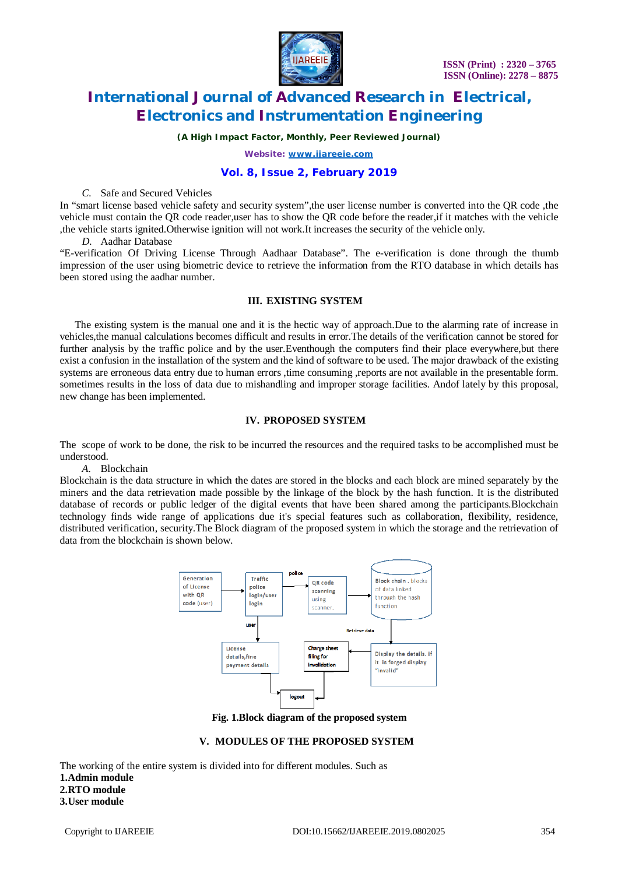

*(A High Impact Factor, Monthly, Peer Reviewed Journal)*

*Website: [www.ijareeie.com](http://www.ijareeie.com)*

#### **Vol. 8, Issue 2, February 2019**

#### *C.* Safe and Secured Vehicles

In "smart license based vehicle safety and security system",the user license number is converted into the QR code ,the vehicle must contain the QR code reader,user has to show the QR code before the reader,if it matches with the vehicle ,the vehicle starts ignited.Otherwise ignition will not work.It increases the security of the vehicle only.

*D.* Aadhar Database

"E-verification Of Driving License Through Aadhaar Database". The e-verification is done through the thumb impression of the user using biometric device to retrieve the information from the RTO database in which details has been stored using the aadhar number.

#### **III. EXISTING SYSTEM**

The existing system is the manual one and it is the hectic way of approach.Due to the alarming rate of increase in vehicles,the manual calculations becomes difficult and results in error.The details of the verification cannot be stored for further analysis by the traffic police and by the user.Eventhough the computers find their place everywhere,but there exist a confusion in the installation of the system and the kind of software to be used. The major drawback of the existing systems are erroneous data entry due to human errors ,time consuming ,reports are not available in the presentable form. sometimes results in the loss of data due to mishandling and improper storage facilities. Andof lately by this proposal, new change has been implemented.

#### **IV. PROPOSED SYSTEM**

The scope of work to be done, the risk to be incurred the resources and the required tasks to be accomplished must be understood.

#### *A.* Blockchain

Blockchain is the data structure in which the dates are stored in the blocks and each block are mined separately by the miners and the data retrievation made possible by the linkage of the block by the hash function. It is the distributed database of records or public ledger of the digital events that have been shared among the participants.Blockchain technology finds wide range of applications due it's special features such as collaboration, flexibility, residence, distributed verification, security.The Block diagram of the proposed system in which the storage and the retrievation of data from the blockchain is shown below.



**Fig. 1.Block diagram of the proposed system**

#### **V. MODULES OF THE PROPOSED SYSTEM**

The working of the entire system is divided into for different modules. Such as **1.Admin module 2.RTO module 3.User module**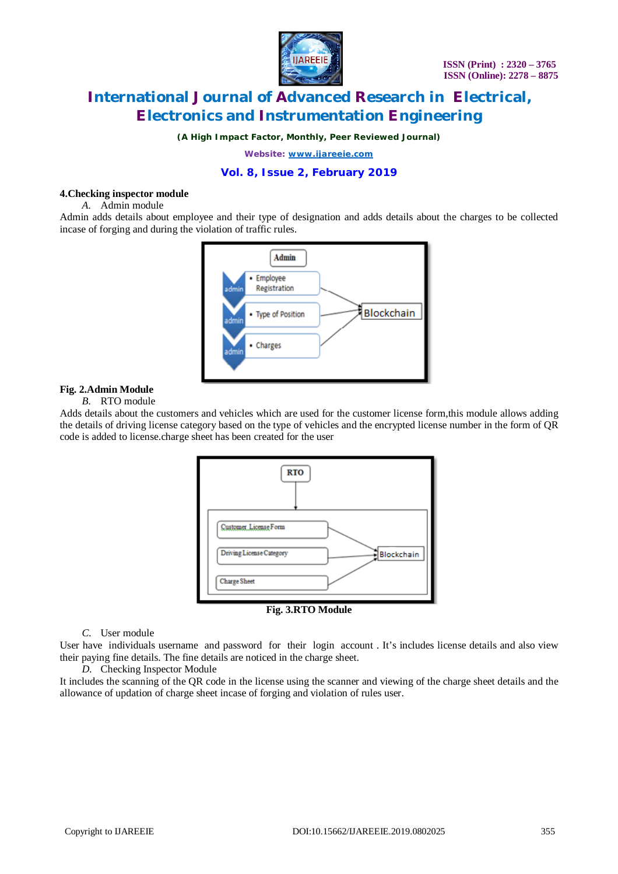

*(A High Impact Factor, Monthly, Peer Reviewed Journal)*

*Website: [www.ijareeie.com](http://www.ijareeie.com)*

#### **Vol. 8, Issue 2, February 2019**

#### **4.Checking inspector module**

*A.* Admin module

Admin adds details about employee and their type of designation and adds details about the charges to be collected incase of forging and during the violation of traffic rules.



#### **Fig. 2.Admin Module**

#### *B.* RTO module

Adds details about the customers and vehicles which are used for the customer license form,this module allows adding the details of driving license category based on the type of vehicles and the encrypted license number in the form of QR code is added to license.charge sheet has been created for the user



**Fig. 3.RTO Module**

#### *C.* User module

User have individuals username and password for their login account . It's includes license details and also view their paying fine details. The fine details are noticed in the charge sheet.

#### *D.* Checking Inspector Module

It includes the scanning of the QR code in the license using the scanner and viewing of the charge sheet details and the allowance of updation of charge sheet incase of forging and violation of rules user.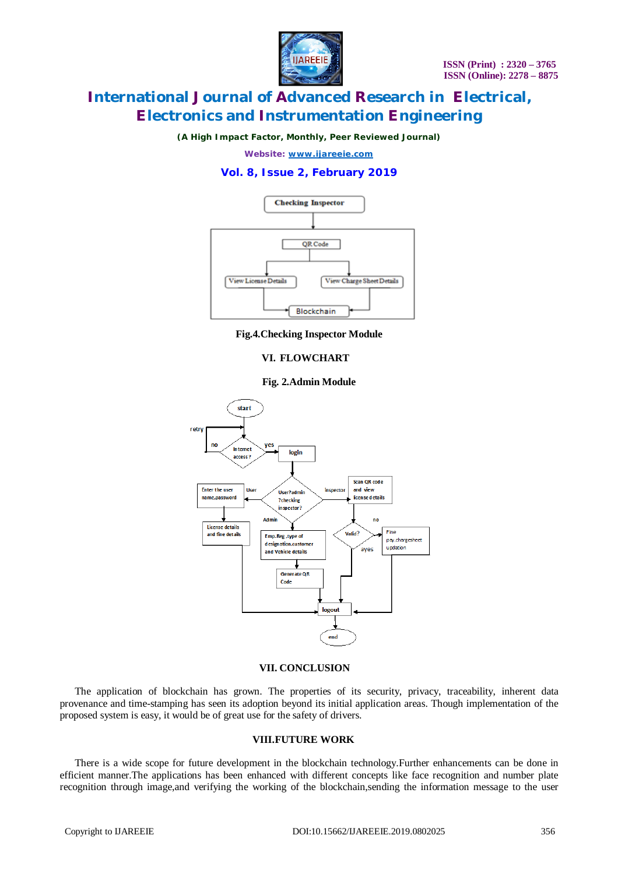

*(A High Impact Factor, Monthly, Peer Reviewed Journal)*

*Website: [www.ijareeie.com](http://www.ijareeie.com)*

### **Vol. 8, Issue 2, February 2019**



**Fig.4.Checking Inspector Module**

#### **VI. FLOWCHART**

#### **Fig. 2.Admin Module**



#### **VII. CONCLUSION**

The application of blockchain has grown. The properties of its security, privacy, traceability, inherent data provenance and time-stamping has seen its adoption beyond its initial application areas. Though implementation of the proposed system is easy, it would be of great use for the safety of drivers.

#### **VIII.FUTURE WORK**

There is a wide scope for future development in the blockchain technology.Further enhancements can be done in efficient manner.The applications has been enhanced with different concepts like face recognition and number plate recognition through image,and verifying the working of the blockchain,sending the information message to the user